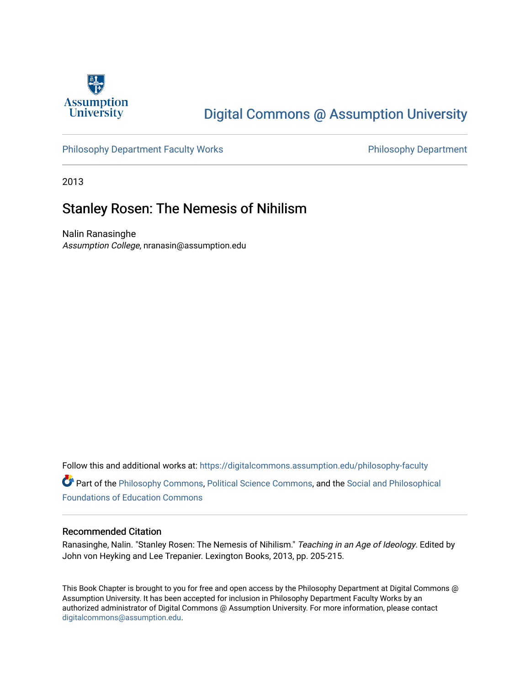

# [Digital Commons @ Assumption University](https://digitalcommons.assumption.edu/)

## [Philosophy Department Faculty Works](https://digitalcommons.assumption.edu/philosophy-faculty) **Philosophy Department**

2013

## Stanley Rosen: The Nemesis of Nihilism

Nalin Ranasinghe Assumption College, nranasin@assumption.edu

Follow this and additional works at: [https://digitalcommons.assumption.edu/philosophy-faculty](https://digitalcommons.assumption.edu/philosophy-faculty?utm_source=digitalcommons.assumption.edu%2Fphilosophy-faculty%2F7&utm_medium=PDF&utm_campaign=PDFCoverPages)  Part of the [Philosophy Commons,](http://network.bepress.com/hgg/discipline/525?utm_source=digitalcommons.assumption.edu%2Fphilosophy-faculty%2F7&utm_medium=PDF&utm_campaign=PDFCoverPages) [Political Science Commons,](http://network.bepress.com/hgg/discipline/386?utm_source=digitalcommons.assumption.edu%2Fphilosophy-faculty%2F7&utm_medium=PDF&utm_campaign=PDFCoverPages) and the [Social and Philosophical](http://network.bepress.com/hgg/discipline/799?utm_source=digitalcommons.assumption.edu%2Fphilosophy-faculty%2F7&utm_medium=PDF&utm_campaign=PDFCoverPages)  [Foundations of Education Commons](http://network.bepress.com/hgg/discipline/799?utm_source=digitalcommons.assumption.edu%2Fphilosophy-faculty%2F7&utm_medium=PDF&utm_campaign=PDFCoverPages)

#### Recommended Citation

Ranasinghe, Nalin. "Stanley Rosen: The Nemesis of Nihilism." Teaching in an Age of Ideology. Edited by John von Heyking and Lee Trepanier. Lexington Books, 2013, pp. 205-215.

This Book Chapter is brought to you for free and open access by the Philosophy Department at Digital Commons @ Assumption University. It has been accepted for inclusion in Philosophy Department Faculty Works by an authorized administrator of Digital Commons @ Assumption University. For more information, please contact [digitalcommons@assumption.edu](mailto:digitalcommons@assumption.edu).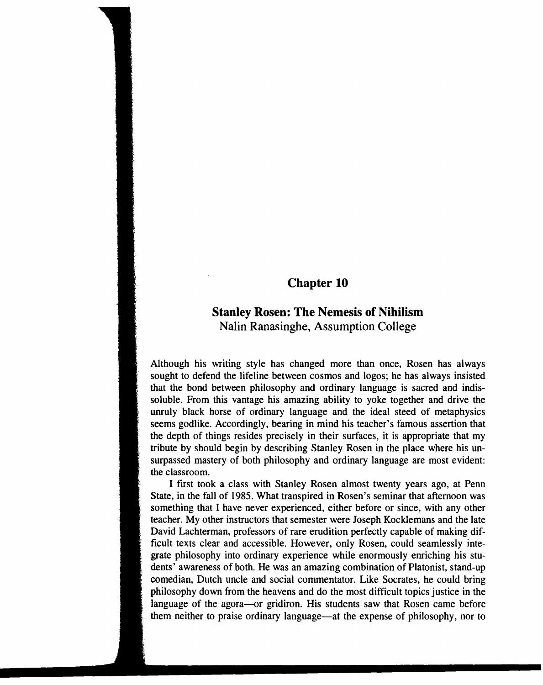### **Chapter 10**

## **Stanley Rosen: The Nemesis of Nihilism**  Nalin Ranasinghe, Assumption College

Although his writing style has changed more than once, Rosen has always sought to defend the lifeline between cosmos and logos; he has always insisted that the bond between philosophy and ordinary language is sacred and indissoluble. From this vantage his amazing ability to yoke together and drive the unruly black horse of ordinary language and the ideal steed of metaphysics seems godlike. Accordingly, bearing in mind his teacher's famous assertion that the depth of things resides precisely in their surfaces, it is appropriate that my tribute by should begin by describing Stanley Rosen in the place where his unsurpassed mastery of both philosophy and ordinary language are most evident: the classroom.

I first took a class with Stanley Rosen almost twenty years ago, at Penn State, in the fall of 1985. What transpired in Rosen's seminar that afternoon was something that I have never experienced, either before or since, with any other teacher. My other instructors that semester were Joseph Kocklemans and the late David Lachterman, professors of rare erudition perfectly capable of making difficult texts clear and accessible. However, only Rosen, could seamlessly integrate philosophy into ordinary experience while enormously enriching his students' awareness of both. He was an amazing combination of Platonist, stand-up : comedian, Dutch uncle and social commentator. Like Socrates, he could bring philosophy down from the heavens and do the most difficult topics justice in the language of the agora—or gridiron. His students saw that Rosen came before them neither to praise ordinary language-at the expense of philosophy, nor to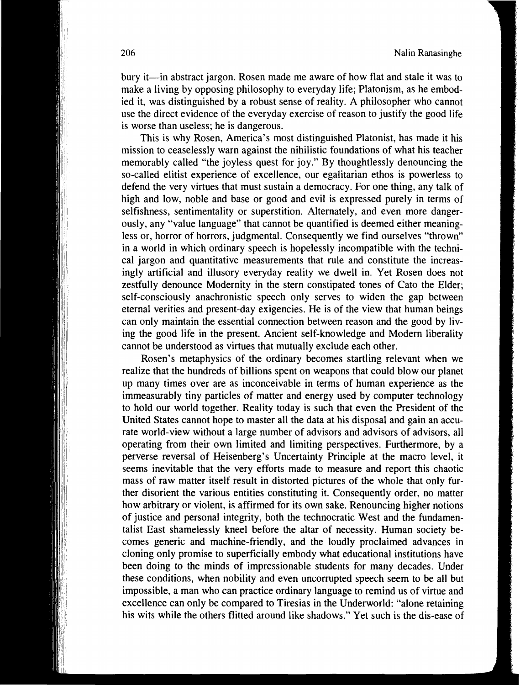bury it—in abstract jargon. Rosen made me aware of how flat and stale it was to make a living by opposing philosophy to everyday life; Platonism, as he embodied it, was distinguished by a robust sense of reality. A philosopher who cannot use the direct evidence of the everyday exercise of reason to justify the good life is worse than useless; he is dangerous.

This is why Rosen, America's most distinguished Platonist, has made it his mission to ceaselessly warn against the nihilistic foundations of what his teacher memorably called "the joyless quest for joy." By thoughtlessly denouncing the so-called elitist experience of excellence, our egalitarian ethos is powerless to defend the very virtues that must sustain a democracy. For one thing, any talk of high and low, noble and base or good and evil is expressed purely in terms of selfishness, sentimentality or superstition. Alternately, and even more dangerously, any "value language" that cannot be quantified is deemed either meaningless or, horror of horrors, judgmental. Consequently we find ourselves "thrown" in a world in which ordinary speech is hopelessly incompatible with the technical jargon and quantitative measurements that rule and constitute the increasingly artificial and illusory everyday reality we dwell in. Yet Rosen does not zestfully denounce Modernity in the stern constipated tones of Cato the Elder; self-consciously anachronistic speech only serves to widen the gap between eternal verities and present-day exigencies. He is of the view that human beings can only maintain the essential connection between reason and the good by living the good life in the present. Ancient self-knowledge and Modern liberality cannot be understood as virtues that mutually exclude each other.

Rosen's metaphysics of the ordinary becomes startling relevant when we realize that the hundreds of billions spent on weapons that could blow our planet up many times over are as inconceivable in terms of human experience as the immeasurably tiny particles of matter and energy used by computer technology to hold our world together. Reality today is such that even the President of the United States cannot hope to master all the data at his disposal and gain an accurate world-view without a large number of advisors and advisors of advisors, all operating from their own limited and limiting perspectives. Furthermore, by a perverse reversal of Heisenberg's Uncertainty Principle at the macro level, it seems inevitable that the very efforts made to measure and report this chaotic mass of raw matter itself result in distorted pictures of the whole that only further disorient the various entities constituting it. Consequently order, no matter how arbitrary or violent, is affirmed for its own sake. Renouncing higher notions of justice and personal integrity, both the technocratic West and the fundamentalist East shamelessly kneel before the altar of necessity. Human society becomes generic and machine-friendly, and the loudly proclaimed advances in cloning only promise to superficially embody what educational institutions have been doing to the minds of impressionable students for many decades. Under these conditions, when nobility and even uncorrupted speech seem to be all but impossible, a man who can practice ordinary language to remind us of virtue and excellence can only be compared to Tiresias in the Underworld: "alone retaining his wits while the others flitted around like shadows." Yet such is the dis-ease of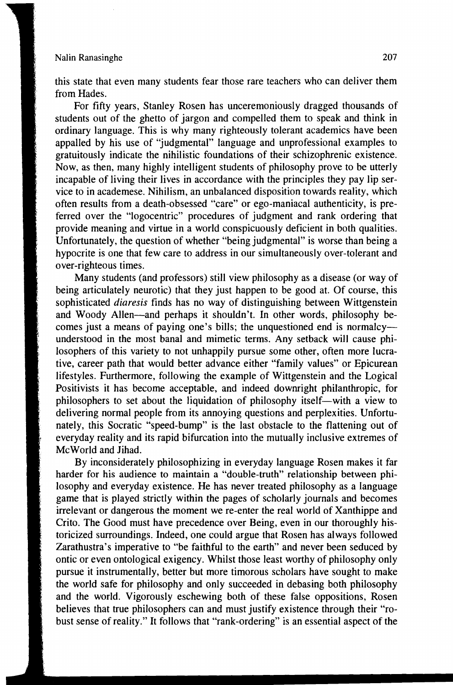this state that even many students fear those rare teachers who can deliver them from Hades.

For fifty years, Stanley Rosen has unceremoniously dragged thousands of students out of the ghetto of jargon and compelled them to speak and think in ordinary language. This is why many righteously tolerant academics have been appalled by his use of "judgmental" language and unprofessional examples to gratuitously indicate the nihilistic foundations of their schizophrenic existence. Now, as then, many highly intelligent students of philosophy prove to be utterly incapable of living their lives in accordance with the principles they pay lip service to in academese. Nihilism, an unbalanced disposition towards reality, which often results from a death-obsessed "care" or ego-maniacal authenticity, is preferred over the "logocentric" procedures of judgment and rank ordering that provide meaning and virtue in a world conspicuously deficient in both qualities. Unfortunately, the question of whether "being judgmental" is worse than being a hypocrite is one that few care to address in our simultaneously over-tolerant and over-righteous times.

Many students (and professors) still view philosophy as a disease (or way of being articulately neurotic) that they just happen to be good at. Of course, this sophisticated *diaresis* finds has no way of distinguishing between Wittgenstein and Woody Allen-and perhaps it shouldn't. In other words, philosophy becomes just a means of paying one's bills; the unquestioned end is normalcy-understood in the most banal and mimetic terms. Any setback will cause philosophers of this variety to not unhappily pursue some other, often more lucrative, career path that would better advance either "family values" or Epicurean lifestyles. Furthermore, following the example of Wittgenstein and the Logical Positivists it has become acceptable, and indeed downright philanthropic, for philosophers to set about the liquidation of philosophy itself-with a view to delivering normal people from its annoying questions and perplexities. Unfortunately, this Socratic "speed-bump" is the last obstacle to the flattening out of everyday reality and its rapid bifurcation into the mutually inclusive extremes of McWorld and Jihad.

By inconsiderately philosophizing in everyday language Rosen makes it far harder for his audience to maintain a "double-truth" relationship between philosophy and everyday existence. He has never treated philosophy as a language game that is played strictly within the pages of scholarly journals and becomes irrelevant or dangerous the moment we re-enter the real world of Xanthippe and Crito. The Good must have precedence over Being, even in our thoroughly historicized surroundings. Indeed, one could argue that Rosen has always followed Zarathustra's imperative to "be faithful to the earth" and never been seduced by ontic or even ontological exigency. Whilst those least worthy of philosophy only pursue it instrumentally, better but more timorous scholars have sought to make the world safe for philosophy and only succeeded in debasing both philosophy and the world. Vigorously eschewing both of these false oppositions, Rosen believes that true philosophers can and must justify existence through their "robust sense of reality." It follows that "rank-ordering" is an essential aspect of the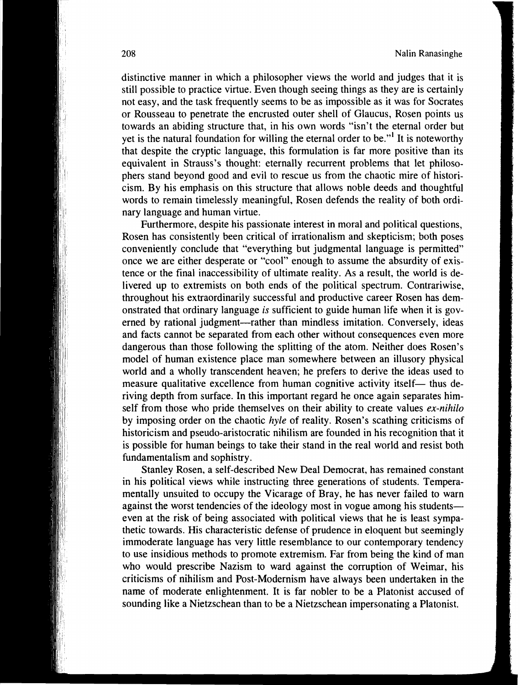distinctive manner in which a philosopher views the world and judges that it is still possible to practice virtue. Even though seeing things as they are is certainly not easy, and the task frequently seems to be as impossible as it was for Socrates or Rousseau to penetrate the encrusted outer shell of Glaucus, Rosen points us towards an abiding structure that, in his own words "isn't the eternal order but yet is the natural foundation for willing the eternal order to be."<sup>1</sup> It is noteworthy that despite the cryptic language, this formulation is far more positive than its equivalent in Strauss's thought: eternally recurrent problems that let philosophers stand beyond good and evil to rescue us from the chaotic mire of historicism. By his emphasis on this structure that allows noble deeds and thoughtful words to remain timelessly meaningful, Rosen defends the reality of both ordinary language and human virtue.

Furthermore, despite his passionate interest in moral and political questions, Rosen has consistently been critical of irrationalism and skepticism; both poses conveniently conclude that "everything but judgmental language is permitted" once we are either desperate or "cool" enough to assume the absurdity of existence or the final inaccessibility of ultimate reality. As a result, the world is delivered up to extremists on both ends of the political spectrum. Contrariwise, throughout his extraordinarily successful and productive career Rosen has demonstrated that ordinary language *is* sufficient to guide human life when it is governed by rational judgment-rather than mindless imitation. Conversely, ideas and facts cannot be separated from each other without consequences even more dangerous than those following the splitting of the atom. Neither does Rosen's model of human existence place man somewhere between an illusory physical world and a wholly transcendent heaven; he prefers to derive the ideas used to measure qualitative excellence from human cognitive activity itself— thus deriving depth from surface. In this important regard he once again separates himself from those who pride themselves on their ability to create values *ex-nihilo*  by imposing order on the chaotic *hyle* of reality. Rosen's scathing criticisms of historicism and pseudo-aristocratic nihilism are founded in his recognition that it is possible for human beings to take their stand in the real world and resist both fundamentalism and sophistry.

Stanley Rosen, a self-described New Deal Democrat, has remained constant in his political views while instructing three generations of students. Temperamentally unsuited to occupy the Vicarage of Bray, he has never failed to warn against the worst tendencies of the ideology most in vogue among his students even at the risk of being associated with political views that he is least sympathetic towards. His characteristic defense of prudence in eloquent but seemingly immoderate language has very little resemblance to our contemporary tendency to use insidious methods to promote extremism. Far from being the kind of man who would prescribe Nazism to ward against the corruption of Weimar, his criticisms of nihilism and Post-Modernism have always been undertaken in the name of moderate enlightenment. It is far nobler to be a Platonist accused of sounding like a Nietzschean than to be a Nietzschean impersonating a Platonist.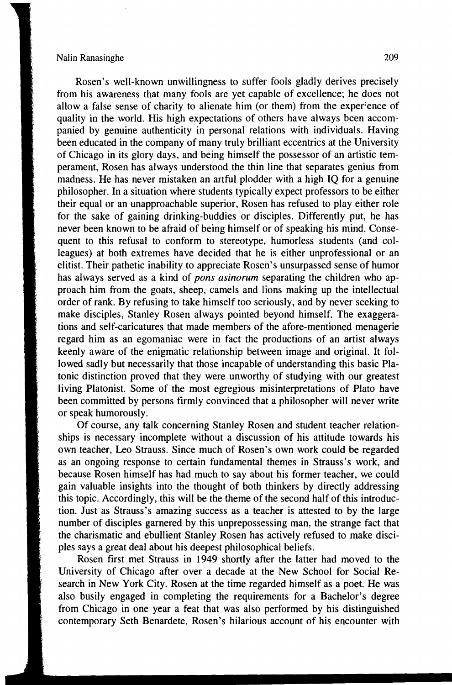Rosen's well-known unwillingness to suffer fools gladly derives precisely from his awareness that many fools are yet capable of excellence; he does not allow a false sense of charity to alienate him (or them) from the exper:ence of quality in the world. His high expectations of others have always been accompanied by genuine authenticity in personal relations with individuals. Having been educated in the company of many truly brilliant eccentrics at the University of Chicago in its glory days, and being himself the possessor of an artistic temperament, Rosen has always understood the thin line that separates genius from madness. He has never mistaken an artful plodder with a high IQ for a genuine philosopher. In a situation where students typically expect professors to be either their equal or an unapproachable superior, Rosen has refused to play either role for the sake of gaining drinking-buddies or disciples. Differently put, he has never been known to be afraid of being himself or of speaking his mind. Consequent to this refusal to conform to stereotype, humorless students (and colleagues) at both extremes have decided that he is either unprofessional or an elitist. Their pathetic inability to appreciate Rosen's unsurpassed sense of humor has always served as a kind of *pons asinorum* separating the children who approach him from the goats, sheep, camels and lions making up the intellectual order of rank. By refusing to take himself too seriously, and by never seeking to make disciples, Stanley Rosen always pointed beyond himself. The exaggerations and self-caricatures that made members of the afore-mentioned menagerie regard him as an egomaniac were in fact the productions of an artist always keenly aware of the enigmatic relationship between image and original. It followed sadly but necessarily that those incapable of understanding this basic Platonic distinction proved that they were unworthy of studying with our greatest living Platonist. Some of the most egregious misinterpretations of Plato have been committed by persons firmly convinced that a philosopher will never write or speak humorously.

Of course, any talk concerning Stanley Rosen and student teacher relationships is necessary incomplete without a discussion of his attitude towards his own teacher, Leo Strauss. Since much of Rosen's own work could be regarded as an ongoing response to certain fundamental themes in Strauss's work, and because Rosen himself has had much to say about his former teacher, we could gain valuable insights into the thought of both thinkers by directly addressing this topic. Accordingly, this will be the theme of the second half of this introduction. Just as Strauss's amazing success as a teacher is attested to by the large number of disciples garnered by this unprepossessing man, the strange fact that the charismatic and ebullient Stanley Rosen has actively refused to make disciples says a great deal about his deepest philosophical beliefs.

Rosen first met Strauss in 1949 shortly after the latter had moved to the University of Chicago after over a decade at the New School for Social Research in New York City. Rosen at the time regarded himself as a poet. He was also busily engaged in completing the requirements for a Bachelor's degree from Chicago in one year a feat that was also performed by his distinguished contemporary Seth Benardete. Rosen's hilarious account of his encounter with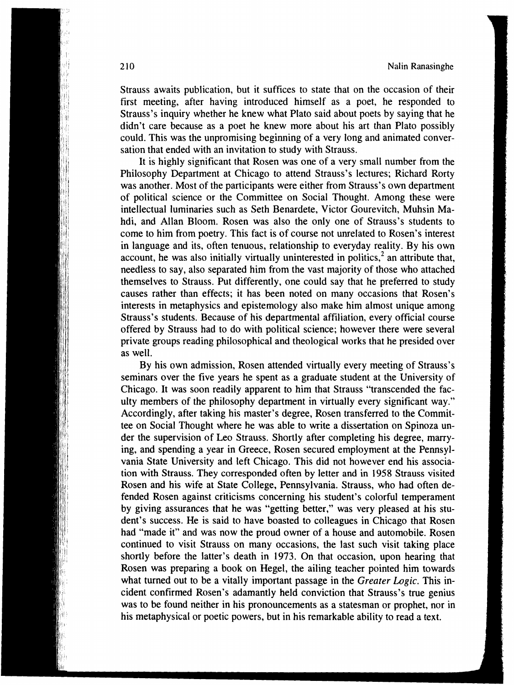Strauss awaits publication, but it suffices to state that on the occasion of their first meeting, after having introduced himself as a poet, he responded to Strauss's inquiry whether he knew what Plato said about poets by saying that he didn't care because as a poet he knew more about his art than Plato possibly could. This was the unpromising beginning of a very long and animated conversation that ended with an invitation to study with Strauss.

It is highly significant that Rosen was one of a very small number from the Philosophy Department at Chicago to attend Strauss's lectures; Richard Rorty was another. Most of the participants were either from Strauss's own department of political science or the Committee on Social Thought. Among these were intellectual luminaries such as Seth Benardete, Victor Gourevitch, Muhsin Mahdi, and Allan Bloom. Rosen was also the only one of Strauss's students to come to him from poetry. This fact is of course not unrelated to Rosen's interest in language and its, often tenuous, relationship to everyday reality. By his own account, he was also initially virtually uninterested in politics, $<sup>2</sup>$  an attribute that,</sup> needless to say, also separated him from the vast majority of those who attached themselves to Strauss. Put differently, one could say that he preferred to study causes rather than effects; it has been noted on many occasions that Rosen's interests in metaphysics and epistemology also make him almost unique among Strauss's students. Because of his departmental affiliation, every official course offered by Strauss had to do with political science; however there were several private groups reading philosophical and theological works that he presided over as well.

By his own admission, Rosen attended virtually every meeting of Strauss's seminars over the five years he spent as a graduate student at the University of Chicago. It was soon readily apparent to him that Strauss "transcended the faculty members of the philosophy department in virtually every significant way." Accordingly, after taking his master's degree, Rosen transferred to the Committee on Social Thought where he was able to write a dissertation on Spinoza under the supervision of Leo Strauss. Shortly after completing his degree, marrying, and spending a year in Greece, Rosen secured employment at the Pennsylvania State University and left Chicago. This did not however end his association with Strauss. They corresponded often by letter and in 1958 Strauss visited Rosen and his wife at State College, Pennsylvania. Strauss, who had often defended Rosen against criticisms concerning his student's colorful temperament by giving assurances that he was "getting better," was very pleased at his student's success. He is said to have boasted to colleagues in Chicago that Rosen had "made it" and was now the proud owner of a house and automobile. Rosen continued to visit Strauss on many occasions, the last such visit taking place shortly before the latter's death in 1973. On that occasion, upon hearing that Rosen was preparing a book on Hegel, the ailing teacher pointed him towards what turned out to be a vitally important passage in the *Greater Logic.* This incident confirmed Rosen's adamantly held conviction that Strauss's true genius was to be found neither in his pronouncements as a statesman or prophet, nor in his metaphysical or poetic powers, but in his remarkable ability to read a text.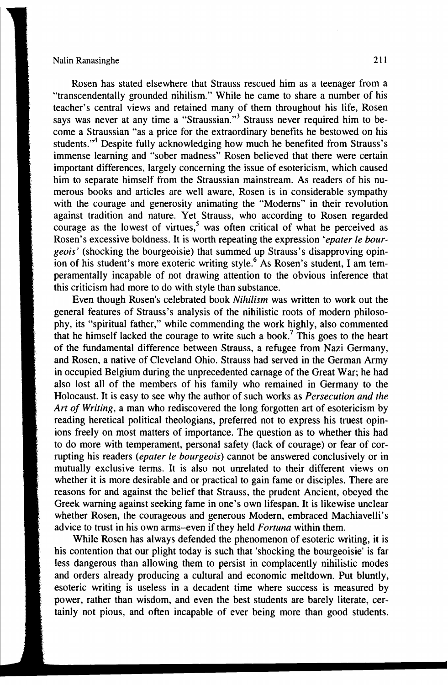Rosen has stated elsewhere that Strauss rescued him as a teenager from a "transcendentally grounded nihilism." While he came to share a number of his teacher's central views and retained many of them throughout his life, Rosen says was never at any time a "Straussian."<sup>3</sup> Strauss never required him to become a Straussian "as a price for the extraordinary benefits he bestowed on his students."<sup>4</sup> Despite fully acknowledging how much he benefited from Strauss's immense learning and "sober madness" Rosen believed that there were certain important differences, largely concerning the issue of esotericism, which caused him to separate himself from the Straussian mainstream. As readers of his numerous books and articles are well aware, Rosen is in considerable sympathy with the courage and generosity animating the "Moderns" in their revolution against tradition and nature. Yet Strauss, who according to Rosen regarded courage as the lowest of virtues,<sup>5</sup> was often critical of what he perceived as Rosen's excessive boldness. It is worth repeating the expression *'epater le bourgeois'* (shocking the bourgeoisie) that summed up Strauss's disapproving opinion of his student's more exoteric writing style.<sup>6</sup> As Rosen's student, I am temperamentally incapable of not drawing attention to the obvious inference that this criticism had more to do with style than substance.

Even though Rosen's celebrated book *Nihilism* was written to work out the general features of Strauss's analysis of the nihilistic roots of modem philosophy, its "spiritual father," while commending the work highly, also commented that he himself lacked the courage to write such a book.<sup>7</sup> This goes to the heart of the fundamental difference between Strauss, a refugee from Nazi Germany, and Rosen, a native of Cleveland Ohio. Strauss had served in the German Army in occupied Belgium during the unprecedented carnage of the Great War; he had also lost all of the members of his family who remained in Germany to the Holocaust. It is easy to see why the author of such works as *Persecution and the Art of Writing,* a man who rediscovered the long forgotten art of esotericism by reading heretical political theologians, preferred not to express his truest opinions freely on most matters of importance. The question as to whether this had to do more with temperament, personal safety (lack of courage) or fear of corrupting his readers *(epater le bourgeois)* cannot be answered conclusively or in mutually exclusive terms. It is also not unrelated to their different views on whether it is more desirable and or practical to gain fame or disciples. There are reasons for and against the belief that Strauss, the prudent Ancient, obeyed the Greek warning against seeking fame in one's own lifespan. It is likewise unclear whether Rosen, the courageous and generous Modem, embraced Machiavelli's advice to trust in his own arms-even if they held *Fortuna* within them.

While Rosen has always defended the phenomenon of esoteric writing, it is his contention that our plight today is such that 'shocking the bourgeoisie' is far less dangerous than allowing them to persist in complacently nihilistic modes and orders already producing a cultural and economic meltdown. Put bluntly, esoteric writing is useless in a decadent time where success is measured by power, rather than wisdom, and even the best students are barely literate, certainly not pious, and often incapable of ever being more than good students.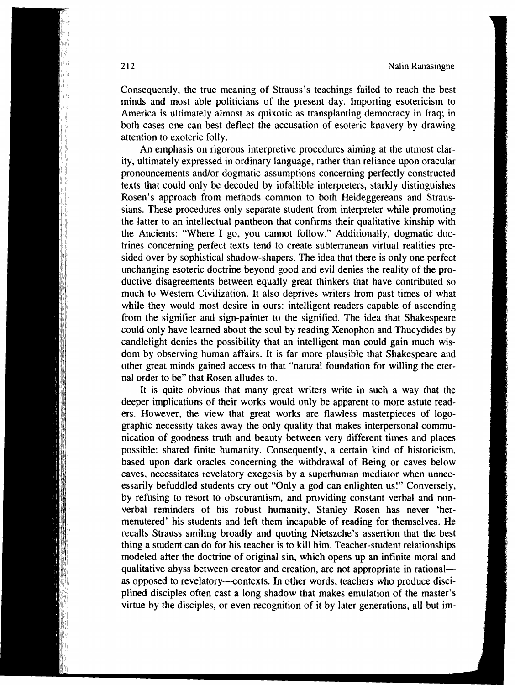Consequently, the true meaning of Strauss's teachings failed to reach the best minds and most able politicians of the present day. Importing esotericism to America is ultimately almost as quixotic as transplanting democracy in Iraq; in both cases one can best deflect the accusation of esoteric knavery by drawing attention to exoteric folly.

An emphasis on rigorous interpretive procedures aiming at the utmost clarity, ultimately expressed in ordinary language, rather than reliance upon oracular pronouncements and/or dogmatic assumptions concerning perfectly constructed texts that could only be decoded by infallible interpreters, starkly distinguishes Rosen's approach from methods common to both Heideggereans and Straussians. These procedures only separate student from interpreter while promoting the latter to an intellectual pantheon that confirms their qualitative kinship with the Ancients: "Where I go, you cannot follow." Additionally, dogmatic doctrines concerning perfect texts tend to create subterranean virtual realities presided over by sophistical shadow-shapers. The idea that there is only one perfect unchanging esoteric doctrine beyond good and evil denies the reality of the productive disagreements between equally great thinkers that have contributed so much to Western Civilization. It also deprives writers from past times of what while they would most desire in ours: intelligent readers capable of ascending from the signifier and sign-painter to the signified. The idea that Shakespeare could only have learned about the soul by reading Xenophon and Thucydides by candlelight denies the possibility that an intelligent man could gain much wisdom by observing human affairs. It is far more plausible that Shakespeare and other great minds gained access to that "natural foundation for willing the eternal order to be" that Rosen alludes to.

It is quite obvious that many great writers write in such a way that the deeper implications of their works would only be apparent to more astute readers. However, the view that great works are flawless masterpieces of logographic necessity takes away the only quality that makes interpersonal communication of goodness truth and beauty between very different times and places possible: shared finite humanity. Consequently, a certain kind of historicism, based upon dark oracles concerning the withdrawal of Being or caves below caves, necessitates revelatory exegesis by a superhuman mediator when unnecessarily befuddled students cry out "Only a god can enlighten us!" Conversely, by refusing to resort to obscurantism, and providing constant verbal and nonverbal reminders of his robust humanity, Stanley Rosen has never 'hermenutered' his students and left them incapable of reading for themselves. He recalls Strauss smiling broadly and quoting Nietszche's assertion that the best thing a student can do for his teacher is to kill him. Teacher-student relationships modeled after the doctrine of original sin, which opens up an infinite moral and qualitative abyss between creator and creation, are not appropriate in rationalas opposed to revelatory--contexts. In other words, teachers who produce disciplined disciples often cast a long shadow that makes emulation of the master's virtue by the disciples, or even recognition of it by later generations, all but im-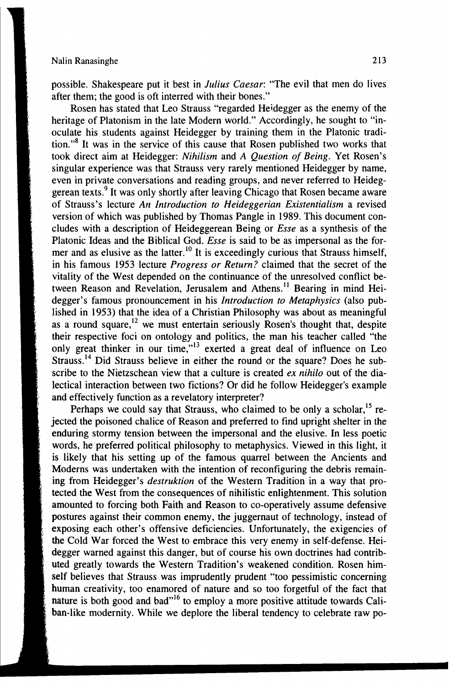possible. Shakespeare put it best in *Julius Caesar:* "The evil that men do lives after them; the good is oft interred with their bones."

Rosen has stated that Leo Strauss "regarded Heidegger as the enemy of the heritage of Platonism in the late Modern world." Accordingly, he sought to "inoculate his students against Heidegger by training them in the Platonic tradition. "8 It was in the service of this cause that Rosen published two works that took direct aim at Heidegger: *Nihilism* and *A Question of Being.* Yet Rosen's singular experience was that Strauss very rarely mentioned Heidegger by name, even in private conversations and reading groups, and never referred to Heideggerean texts.<sup>9</sup> It was only shortly after leaving Chicago that Rosen became aware of Strauss's lecture *An Introduction to Heideggerian Existentialism* a revised version of which was published by Thomas Pangle in 1989. This document concludes with a description of Heideggerean Being or *Esse* as a synthesis of the Platonic Ideas and the Biblical God. *Esse* is said to be as impersonal as the former and as elusive as the latter.<sup>10</sup> It is exceedingly curious that Strauss himself, in his famous 1953 lecture *Progress or Return?* claimed that the secret of the vitality of the West depended on the continuance of the unresolved conflict between Reason and Revelation, Jerusalem and Athens.<sup>11</sup> Bearing in mind Heidegger's famous pronouncement in his *Introduction to Metaphysics* (also published in 1953) that the idea of a Christian Philosophy was about as meaningful as a round square, $12$  we must entertain seriously Rosen's thought that, despite their respective foci on ontology and politics, the man his teacher called "the only great thinker in our time,"<sup>13</sup> exerted a great deal of influence on Leo Strauss.<sup>14</sup> Did Strauss believe in either the round or the square? Does he subscribe to the Nietzschean view that a culture is created *ex nihilo* out of the dialectical interaction between two fictions? Or did he follow Heidegger's example and effectively function as a revelatory interpreter?

Perhaps we could say that Strauss, who claimed to be only a scholar.<sup>15</sup> rejected the poisoned chalice of Reason and preferred to find upright shelter in the enduring stormy tension between the impersonal and the elusive. In less poetic words, he preferred political philosophy to metaphysics. Viewed in this light, it is likely that his setting up of the famous quarrel between the Ancients and Moderns was undertaken with the intention of reconfiguring the debris remaining from Heidegger's *destruktion* of the Western Tradition in a way that protected the West from the consequences of nihilistic enlightenment. This solution amounted to forcing both Faith and Reason to co-operatively assume defensive postures against their common enemy, the juggernaut of technology, instead of exposing each other's offensive deficiencies. Unfortunately, the exigencies of the Cold War forced the West to embrace this very enemy in self-defense. Heidegger warned against this danger, but of course his own doctrines had contributed greatly towards the Western Tradition's weakened condition. Rosen himself believes that Strauss was imprudently prudent "too pessimistic concerning human creativity, too enamored of nature and so too forgetful of the fact that nature is both good and bad"<sup>16</sup> to employ a more positive attitude towards Caliban-like modernity. While we deplore the liberal tendency to celebrate raw po-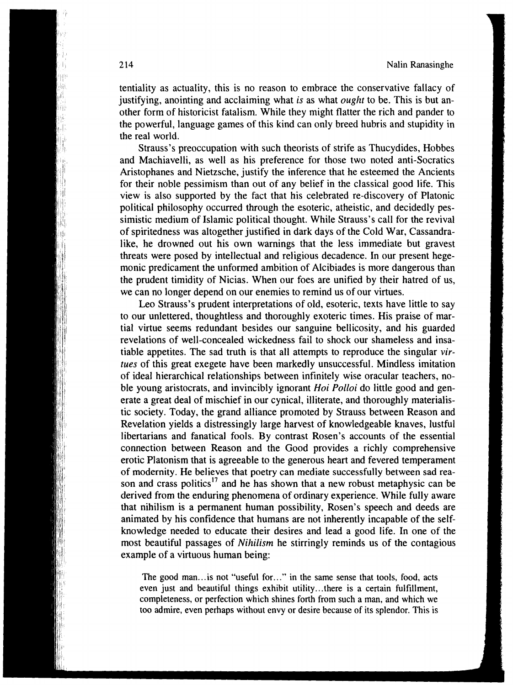tentiality as actuality, this is no reason to embrace the conservative fallacy of justifying, anointing and acclaiming what *is* as what *ought* to be. This is but another form of historicist fatalism. While they might flatter the rich and pander to the powerful, language games of this kind can only breed hubris and stupidity in the real world.

Strauss's preoccupation with such theorists of strife as Thucydides, Hobbes and Machiavelli, as well as his preference for those two noted anti-Socratics Aristophanes and Nietzsche, justify the inference that he esteemed the Ancients for their noble pessimism than out of any belief in the classical good life. This view is also supported by the fact that his celebrated re-discovery of Platonic political philosophy occurred through the esoteric, atheistic, and decidedly pessimistic medium of Islamic political thought. While Strauss's call for the revival of spiritedness was altogether justified in dark days of the Cold War, Cassandralike, he drowned out his own warnings that the less immediate but gravest threats were posed by intellectual and religious decadence. In our present hegemonic predicament the unformed ambition of Alcibiades is more dangerous than the prudent timidity of Nicias. When our foes are unified by their hatred of us, we can no longer depend on our enemies to remind us of our virtues.

Leo Strauss's prudent interpretations of old, esoteric, texts have little to say to our unlettered, thoughtless and thoroughly exoteric times. His praise of martial virtue seems redundant besides our sanguine bellicosity, and his guarded revelations of well-concealed wickedness fail to shock our shameless and insatiable appetites. The sad truth is that all attempts to reproduce the singular *virtues* of this great exegete have been markedly unsuccessful. Mindless imitation of ideal hierarchical relationships between infinitely wise oracular teachers, noble young aristocrats, and invincibly ignorant *Hoi Polloi* do little good and generate a great deal of mischief in our cynical, illiterate, and thoroughly materialistic society. Today, the grand alliance promoted by Strauss between Reason and Revelation yields a distressingly large harvest of knowledgeable knaves, lustful libertarians and fanatical fools. By contrast Rosen's accounts of the essential connection between Reason and the Good provides a richly comprehensive erotic Platonism that is agreeable to the generous heart and fevered temperament of modernity. He believes that poetry can mediate successfully between sad reason and crass politics $\frac{17}{2}$  and he has shown that a new robust metaphysic can be derived from the enduring phenomena of ordinary experience. While fully aware that nihilism is a permanent human possibility, Rosen's speech and deeds are animated by his confidence that humans are not inherently incapable of the selfknowledge needed to educate their desires and lead a good life. In one of the most beautiful passages of *Nihilism* he stirringly reminds us of the contagious example of a virtuous human being:

The good man... is not "useful for ..." in the same sense that tools, food, acts even just and beautiful things exhibit utility...there is a certain fulfillment, completeness, or perfection which shines forth from such a man, and which we too admire, even perhaps without envy or desire because of its splendor. This is